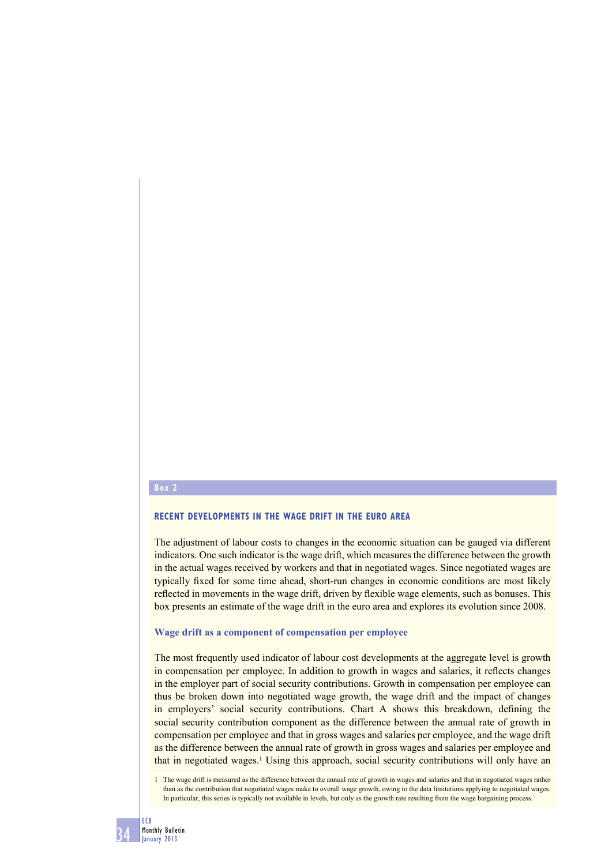## **Box 2**

# **RECENT DEVELOPMENTS IN THE WAGE DRIFT IN THE EURO AREA**

The adjustment of labour costs to changes in the economic situation can be gauged via different indicators. One such indicator is the wage drift, which measures the difference between the growth in the actual wages received by workers and that in negotiated wages. Since negotiated wages are typically fixed for some time ahead, short-run changes in economic conditions are most likely reflected in movements in the wage drift, driven by flexible wage elements, such as bonuses. This box presents an estimate of the wage drift in the euro area and explores its evolution since 2008.

## **Wage drift as a component of compensation per employee**

The most frequently used indicator of labour cost developments at the aggregate level is growth in compensation per employee. In addition to growth in wages and salaries, it reflects changes in the employer part of social security contributions. Growth in compensation per employee can thus be broken down into negotiated wage growth, the wage drift and the impact of changes in employers' social security contributions. Chart A shows this breakdown, defining the social security contribution component as the difference between the annual rate of growth in compensation per employee and that in gross wages and salaries per employee, and the wage drift as the difference between the annual rate of growth in gross wages and salaries per employee and that in negotiated wages.<sup>1</sup> Using this approach, social security contributions will only have an

<sup>1</sup> The wage drift is measured as the difference between the annual rate of growth in wages and salaries and that in negotiated wages rather than as the contribution that negotiated wages make to overall wage growth, owing to the data limitations applying to negotiated wages. In particular, this series is typically not available in levels, but only as the growth rate resulting from the wage bargaining process.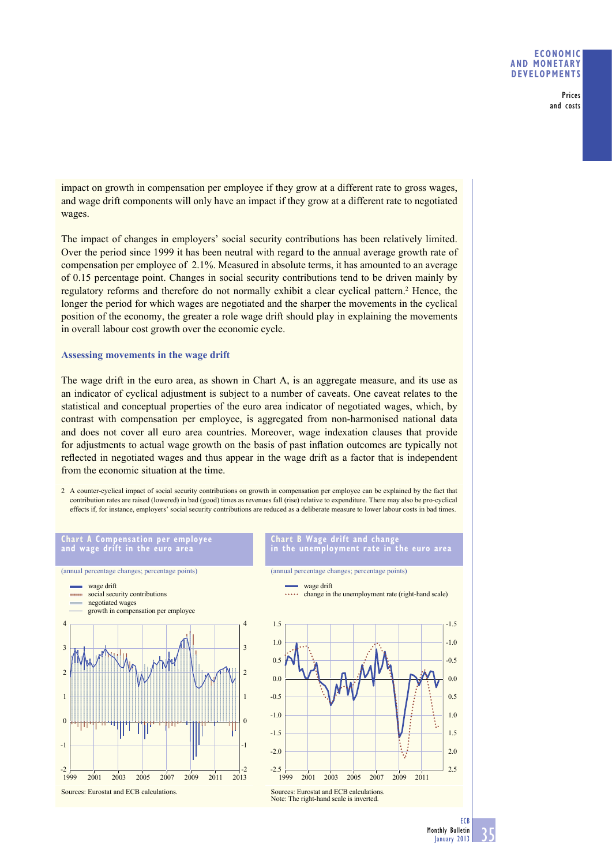## **ECONOMIC AND MONETARY DEVELOPMENTS**

Prices and costs

impact on growth in compensation per employee if they grow at a different rate to gross wages, and wage drift components will only have an impact if they grow at a different rate to negotiated wages.

The impact of changes in employers' social security contributions has been relatively limited. Over the period since 1999 it has been neutral with regard to the annual average growth rate of compensation per employee of 2.1%. Measured in absolute terms, it has amounted to an average of 0.15 percentage point. Changes in social security contributions tend to be driven mainly by regulatory reforms and therefore do not normally exhibit a clear cyclical pattern.<sup>2</sup> Hence, the longer the period for which wages are negotiated and the sharper the movements in the cyclical position of the economy, the greater a role wage drift should play in explaining the movements in overall labour cost growth over the economic cycle.

# **Assessing movements in the wage drift**

The wage drift in the euro area, as shown in Chart A, is an aggregate measure, and its use as an indicator of cyclical adjustment is subject to a number of caveats. One caveat relates to the statistical and conceptual properties of the euro area indicator of negotiated wages, which, by contrast with compensation per employee, is aggregated from non-harmonised national data and does not cover all euro area countries. Moreover, wage indexation clauses that provide for adjustments to actual wage growth on the basis of past inflation outcomes are typically not reflected in negotiated wages and thus appear in the wage drift as a factor that is independent from the economic situation at the time.

2 A counter-cyclical impact of social security contributions on growth in compensation per employee can be explained by the fact that contribution rates are raised (lowered) in bad (good) times as revenues fall (rise) relative to expenditure. There may also be pro-cyclical effects if, for instance, employers' social security contributions are reduced as a deliberate measure to lower labour costs in bad times.

# **Chart A Compensation per employee and wage drift in the euro area**

#### **Chart B Wage drift and change in the unemployment rate in the euro area**



(annual percentage changes; percentage points)